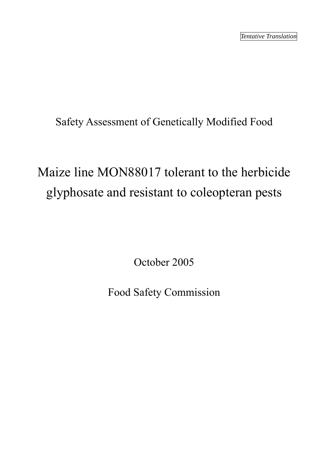Safety Assessment of Genetically Modified Food

# Maize line MON88017 tolerant to the herbicide glyphosate and resistant to coleopteran pests

October 2005

Food Safety Commission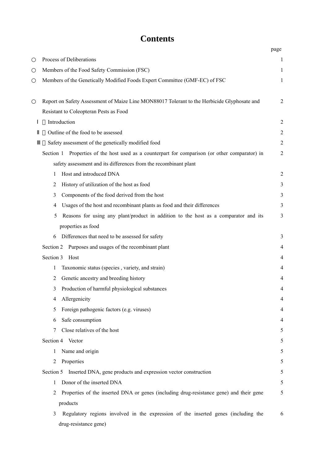## **Contents**

|           |                                                                                                | page           |
|-----------|------------------------------------------------------------------------------------------------|----------------|
|           | Process of Deliberations                                                                       | $\mathbf{1}$   |
|           | Members of the Food Safety Commission (FSC)                                                    | 1              |
|           | Members of the Genetically Modified Foods Expert Committee (GMF-EC) of FSC                     | $\mathbf{1}$   |
|           | Report on Safety Assessment of Maize Line MON88017 Tolerant to the Herbicide Glyphosate and    | $\overline{2}$ |
|           | Resistant to Coleopteran Pests as Food                                                         |                |
|           | Introduction                                                                                   | $\overline{2}$ |
|           | Outline of the food to be assessed                                                             | $\overline{2}$ |
|           | Safety assessment of the genetically modified food                                             | $\overline{2}$ |
|           | Section 1 Properties of the host used as a counterpart for comparison (or other comparator) in | $\overline{2}$ |
|           | safety assessment and its differences from the recombinant plant                               |                |
| 1         | Host and introduced DNA                                                                        | $\overline{2}$ |
| 2         | History of utilization of the host as food                                                     | 3              |
| 3         | Components of the food derived from the host                                                   | 3              |
| 4         | Usages of the host and recombinant plants as food and their differences                        | 3              |
| 5         | Reasons for using any plant/product in addition to the host as a comparator and its            | 3              |
|           | properties as food                                                                             |                |
| 6         | Differences that need to be assessed for safety                                                | 3              |
| Section 2 | Purposes and usages of the recombinant plant                                                   | 4              |
| Section 3 | Host                                                                                           | $\overline{4}$ |
| 1         | Taxonomic status (species, variety, and strain)                                                | 4              |
| 2         | Genetic ancestry and breeding history                                                          | 4              |
| 3         | Production of harmful physiological substances                                                 | 4              |
| 4         | Allergenicity                                                                                  | 4              |
| 5         | Foreign pathogenic factors (e.g. viruses)                                                      | 4              |
| 6         | Safe consumption                                                                               | 4              |
| 7         | Close relatives of the host                                                                    | 5              |
|           | Section 4 Vector                                                                               | 5              |
| 1         | Name and origin                                                                                | 5              |
| 2         | Properties                                                                                     | 5              |
| Section 5 | Inserted DNA, gene products and expression vector construction                                 | 5              |
| 1         | Donor of the inserted DNA                                                                      | 5              |
| 2         | Properties of the inserted DNA or genes (including drug-resistance gene) and their gene        | 5              |
|           | products                                                                                       |                |
| 3         | Regulatory regions involved in the expression of the inserted genes (including the             | 6              |
|           | drug-resistance gene)                                                                          |                |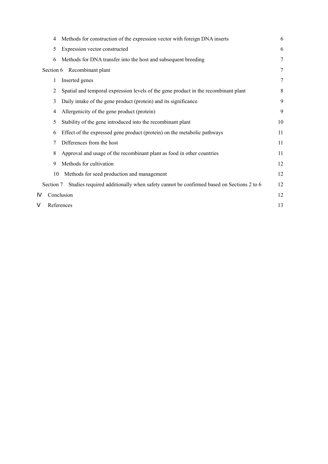| 4         | Methods for construction of the expression vector with foreign DNA inserts             | 6  |
|-----------|----------------------------------------------------------------------------------------|----|
| 5         | Expression vector constructed                                                          | 6  |
| 6         | Methods for DNA transfer into the host and subsequent breeding                         | 7  |
| Section 6 | Recombinant plant                                                                      | 7  |
| 1         | Inserted genes                                                                         | 7  |
| 2         | Spatial and temporal expression levels of the gene product in the recombinant plant    | 8  |
| 3         | Daily intake of the gene product (protein) and its significance                        | 9  |
| 4         | Allergenicity of the gene product (protein)                                            | 9  |
| 5         | Stability of the gene introduced into the recombinant plant                            | 10 |
| 6         | Effect of the expressed gene product (protein) on the metabolic pathways               | 11 |
| 7         | Differences from the host                                                              | 11 |
| 8         | Approval and usage of the recombinant plant as food in other countries                 | 11 |
| 9         | Methods for cultivation                                                                | 12 |
| 10        | Methods for seed production and management                                             | 12 |
| Section 7 | Studies required additionally when safety cannot be confirmed based on Sections 2 to 6 | 12 |
|           | Conclusion                                                                             | 12 |
|           | References                                                                             | 13 |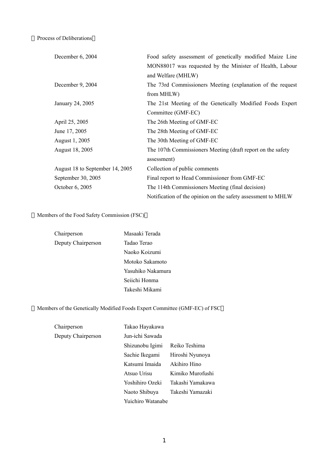Process of Deliberations

| December 6, 2004                | Food safety assessment of genetically modified Maize Line    |
|---------------------------------|--------------------------------------------------------------|
|                                 | MON88017 was requested by the Minister of Health, Labour     |
|                                 | and Welfare (MHLW)                                           |
| December 9, 2004                | The 73rd Commissioners Meeting (explanation of the request   |
|                                 | from MHLW)                                                   |
| January 24, 2005                | The 21st Meeting of the Genetically Modified Foods Expert    |
|                                 | Committee (GMF-EC)                                           |
| April 25, 2005                  | The 26th Meeting of GMF-EC                                   |
| June 17, 2005                   | The 28th Meeting of GMF-EC                                   |
| August 1, 2005                  | The 30th Meeting of GMF-EC                                   |
| August 18, 2005                 | The 107th Commissioners Meeting (draft report on the safety  |
|                                 | assessment)                                                  |
| August 18 to September 14, 2005 | Collection of public comments                                |
| September 30, 2005              | Final report to Head Commissioner from GMF-EC                |
| October 6, 2005                 | The 114th Commissioners Meeting (final decision)             |
|                                 | Notification of the opinion on the safety assessment to MHLW |

Members of the Food Safety Commission (FSC)

| Chairperson        | Masaaki Terada    |
|--------------------|-------------------|
| Deputy Chairperson | Tadao Terao       |
|                    | Naoko Koizumi     |
|                    | Motoko Sakamoto   |
|                    | Yasuhiko Nakamura |
|                    | Seiichi Honma     |
|                    | Takeshi Mikami    |

Members of the Genetically Modified Foods Expert Committee (GMF-EC) of FSC

| Chairperson        | Takao Hayakawa    |                  |
|--------------------|-------------------|------------------|
| Deputy Chairperson | Jun-ichi Sawada   |                  |
|                    | Shizunobu Igimi   | Reiko Teshima    |
|                    | Sachie Ikegami    | Hiroshi Nyunoya  |
|                    | Katsumi Imaida    | Akihiro Hino     |
|                    | Atsuo Urisu       | Kimiko Murofushi |
|                    | Yoshihiro Ozeki   | Takashi Yamakawa |
|                    | Naoto Shibuya     | Takeshi Yamazaki |
|                    | Yuichiro Watanabe |                  |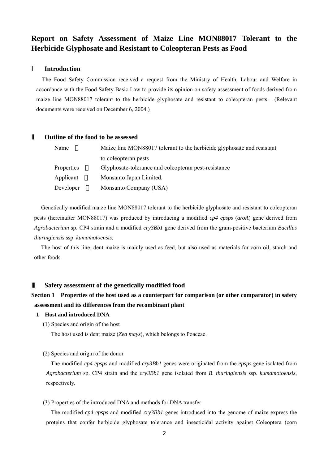## **Report on Safety Assessment of Maize Line MON88017 Tolerant to the Herbicide Glyphosate and Resistant to Coleopteran Pests as Food**

#### Ⅰ **Introduction**

The Food Safety Commission received a request from the Ministry of Health, Labour and Welfare in accordance with the Food Safety Basic Law to provide its opinion on safety assessment of foods derived from maize line MON88017 tolerant to the herbicide glyphosate and resistant to coleopteran pests. (Relevant documents were received on December 6, 2004.)

#### Ⅱ **Outline of the food to be assessed**

| Name       | Maize line MON88017 tolerant to the herbicide glyphosate and resistant |
|------------|------------------------------------------------------------------------|
|            | to coleopteran pests                                                   |
| Properties | Glyphosate-tolerance and coleopteran pest-resistance                   |
| Applicant  | Monsanto Japan Limited.                                                |
| Developer  | Monsanto Company (USA)                                                 |

Genetically modified maize line MON88017 tolerant to the herbicide glyphosate and resistant to coleopteran pests (hereinafter MON88017) was produced by introducing a modified *cp4 epsps* (*aroA*) gene derived from *Agrobacterium* sp. CP4 strain and a modified *cry3Bb1* gene derived from the gram-positive bacterium *Bacillus thuringiensis* ssp. *kumamotoensis*.

The host of this line, dent maize is mainly used as feed, but also used as materials for corn oil, starch and other foods.

#### Ⅲ **Safety assessment of the genetically modified food**

## **Section 1 Properties of the host used as a counterpart for comparison (or other comparator) in safety assessment and its differences from the recombinant plant**

#### **1 Host and introduced DNA**

(1) Species and origin of the host

The host used is dent maize (*Zea mays*), which belongs to Poaceae.

#### (2) Species and origin of the donor

The modified *cp4 epsps* and modified *cry3Bb1* genes were originated from the *epsps* gene isolated from *Agrobacterium* sp. CP4 strain and the *cry3Bb1* gene isolated from *B. thuringiensis* ssp. *kumamotoensis*, respectively.

(3) Properties of the introduced DNA and methods for DNA transfer

The modified *cp4 epsps* and modified *cry3Bb1* genes introduced into the genome of maize express the proteins that confer herbicide glyphosate tolerance and insecticidal activity against Coleoptera (corn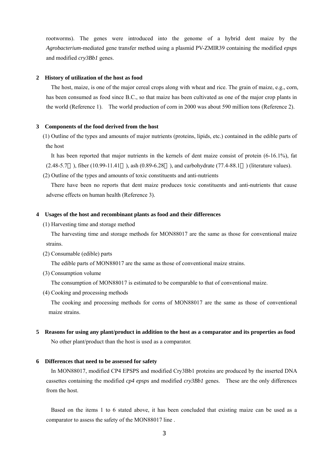rootworms). The genes were introduced into the genome of a hybrid dent maize by the *Agrobacterium*-mediated gene transfer method using a plasmid PV-ZMIR39 containing the modified *epsps*  and modified *cry3Bb1* genes.

#### **2 History of utilization of the host as food**

The host, maize, is one of the major cereal crops along with wheat and rice. The grain of maize, e.g., corn, has been consumed as food since B.C., so that maize has been cultivated as one of the major crop plants in the world (Reference 1). The world production of corn in 2000 was about 590 million tons (Reference 2).

#### **3 Components of the food derived from the host**

(1) Outline of the types and amounts of major nutrients (proteins, lipids, etc.) contained in the edible parts of the host

It has been reported that major nutrients in the kernels of dent maize consist of protein (6-16.1%), fat (2.48-5.7 ), fiber (10.99-11.41 ), ash (0.89-6.28 ), and carbohydrate (77.4-88.1 ) (literature values).

(2) Outline of the types and amounts of toxic constituents and anti-nutrients

There have been no reports that dent maize produces toxic constituents and anti-nutrients that cause adverse effects on human health (Reference 3).

#### **4 Usages of the host and recombinant plants as food and their differences**

(1) Harvesting time and storage method

The harvesting time and storage methods for MON88017 are the same as those for conventional maize strains.

(2) Consumable (edible) parts

The edible parts of MON88017 are the same as those of conventional maize strains.

(3) Consumption volume

The consumption of MON88017 is estimated to be comparable to that of conventional maize.

(4) Cooking and processing methods

The cooking and processing methods for corns of MON88017 are the same as those of conventional maize strains.

**5 Reasons for using any plant/product in addition to the host as a comparator and its properties as food**  No other plant/product than the host is used as a comparator.

#### **6 Differences that need to be assessed for safety**

In MON88017, modified CP4 EPSPS and modified Cry3Bb1 proteins are produced by the inserted DNA cassettes containing the modified *cp4 epsps* and modified *cry3Bb1* genes. These are the only differences from the host.

Based on the items 1 to 6 stated above, it has been concluded that existing maize can be used as a comparator to assess the safety of the MON88017 line .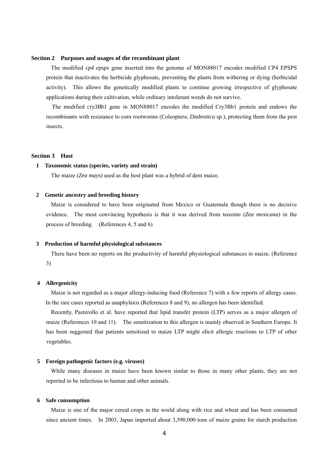#### **Section 2 Purposes and usages of the recombinant plant**

The modified *cp4 epsps* gene inserted into the genome of MON88017 encodes modified CP4 EPSPS protein that inactivates the herbicide glyphosate, preventing the plants from withering or dying (herbicidal activity). This allows the genetically modified plants to continue growing irrespective of glyphosate applications during their cultivation, while ordinary intolerant weeds do not survive.

The modified *cry3Bb1* gene in MON88017 encodes the modified Cry3Bb1 protein and endows the recombinants with resistance to corn rootworms (Coleoptera, *Diabrotica* sp.), protecting them from the pest insects.

#### **Section 3 Host**

#### **1 Taxonomic status (species, variety and strain)**

The maize (*Zea mays*) used as the host plant was a hybrid of dent maize.

#### **2 Genetic ancestry and breeding history**

Maize is considered to have been originated from Mexico or Guatemala though there is no decisive evidence. The most convincing hypothesis is that it was derived from teosinte (*Zea mexicana*) in the process of breeding. (References 4, 5 and 6)

#### **3 Production of harmful physiological substances**

There have been no reports on the productivity of harmful physiological substances in maize. (Reference 3)

#### **4 Allergenicity**

Maize is not regarded as a major allergy-inducing food (Reference 7) with a few reports of allergy cases. In the rare cases reported as anaphylaxis (References 8 and 9), no allergen has been identified.

Recently, Pasterollo et al. have reported that lipid transfer protein (LTP) serves as a major allergen of maize (References 10 and 11). The sensitization to this allergen is mainly observed in Southern Europe. It has been suggested that patients sensitized to maize LTP might elicit allergic reactions to LTP of other vegetables.

#### **5 Foreign pathogenic factors (e.g. viruses)**

While many diseases in maize have been known simlar to those in many other plants, they are not reported to be infectious to human and other animals.

#### **6 Safe consumption**

Maize is one of the major cereal crops in the world along with rice and wheat and has been consumed since ancient times. In 2003, Japan imported about 3,590,000 tons of maize grains for starch production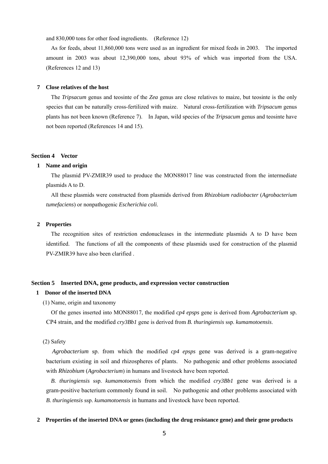and 830,000 tons for other food ingredients. (Reference 12)

As for feeds, about 11,860,000 tons were used as an ingredient for mixed feeds in 2003. The imported amount in 2003 was about 12,390,000 tons, about 93% of which was imported from the USA. (References 12 and 13)

#### **7 Close relatives of the host**

The *Tripsacum* genus and teosinte of the *Zea* genus are close relatives to maize, but teosinte is the only species that can be naturally cross-fertilized with maize. Natural cross-fertilization with *Tripsacum* genus plants has not been known (Reference 7). In Japan, wild species of the *Tripsacum* genus and teosinte have not been reported (References 14 and 15).

#### **Section 4 Vector**

#### **1 Name and origin**

The plasmid PV-ZMIR39 used to produce the MON88017 line was constructed from the intermediate plasmids A to D.

All these plasmids were constructed from plasmids derived from *Rhizobium radiobacter* (*Agrobacterium tumefaciens*) or nonpathogenic *Escherichia coli*.

#### **2 Properties**

The recognition sites of restriction endonucleases in the intermediate plasmids A to D have been identified. The functions of all the components of these plasmids used for construction of the plasmid PV-ZMIR39 have also been clarified .

#### **Section 5 Inserted DNA, gene products, and expression vector construction**

#### **1 Donor of the inserted DNA**

(1) Name, origin and taxonomy

Of the genes inserted into MON88017, the modified *cp4 epsps* gene is derived from *Agrobacterium* sp. CP4 strain, and the modified *cry3Bb1* gene is derived from *B. thuringiensis* ssp. *kumamotoensis*.

#### (2) Safety

*Agrobacterium* sp. from which the modified *cp4 epsps* gene was derived is a gram-negative bacterium existing in soil and rhizospheres of plants. No pathogenic and other problems associated with *Rhizobium* (*Agrobacterium*) in humans and livestock have been reported.

*B. thuringiensis* ssp. *kumamotoensis* from which the modified *cry3Bb1* gene was derived is a gram-positive bacterium commonly found in soil. No pathogenic and other problems associated with *B. thuringiensis* ssp. *kumamotoensis* in humans and livestock have been reported.

#### **2 Properties of the inserted DNA or genes (including the drug resistance gene) and their gene products**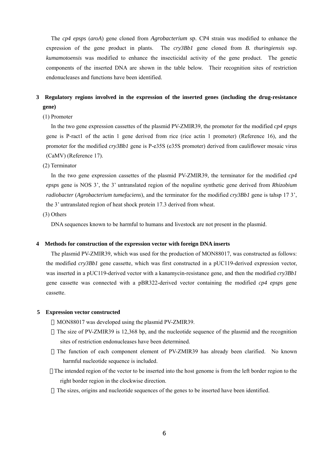The *cp4 epsps* (*aroA*) gene cloned from *Agrobacterium* sp. CP4 strain was modified to enhance the expression of the gene product in plants. The *cry3Bb1* gene cloned from *B. thuringiensis* ssp. *kumamotoensis* was modified to enhance the insecticidal activity of the gene product. The genetic components of the inserted DNA are shown in the table below. Their recognition sites of restriction endonucleases and functions have been identified.

### **3 Regulatory regions involved in the expression of the inserted genes (including the drug-resistance gene)**

(1) Promoter

In the two gene expression cassettes of the plasmid PV-ZMIR39, the promoter for the modified *cp4 epsps*  gene is P-ract1 of the actin 1 gene derived from rice (rice actin 1 promoter) (Reference 16), and the promoter for the modified *cry3Bb1* gene is P-e35S (e35S promoter) derived from cauliflower mosaic virus (CaMV) (Reference 17).

#### (2) Terminator

In the two gene expression cassettes of the plasmid PV-ZMIR39, the terminator for the modified *cp4 epsps* gene is NOS 3', the 3' untranslated region of the nopaline synthetic gene derived from *Rhizobium radiobacter* (*Agrobacterium tumefaciens*), and the terminator for the modified *cry3Bb1* gene is tahsp 17 3', the 3' untranslated region of heat shock protein 17.3 derived from wheat.

(3) Others

DNA sequences known to be harmful to humans and livestock are not present in the plasmid.

#### **4 Methods for construction of the expression vector with foreign DNA inserts**

The plasmid PV-ZMIR39, which was used for the production of MON88017, was constructed as follows: the modified *cry3Bb1* gene cassette, which was first constructed in a pUC119-derived expression vector, was inserted in a pUC119-derived vector with a kanamycin-resistance gene, and then the modified *cry3Bb1*  gene cassette was connected with a pBR322-derived vector containing the modified *cp4 epsps* gene cassette.

#### **5 Expression vector constructed**

MON88017 was developed using the plasmid PV-ZMIR39.

- The size of PV-ZMIR39 is 12,368 bp, and the nucleotide sequence of the plasmid and the recognition sites of restriction endonucleases have been determined.
- The function of each component element of PV-ZMIR39 has already been clarified. No known harmful nucleotide sequence is included.
- The intended region of the vector to be inserted into the host genome is from the left border region to the right border region in the clockwise direction.

The sizes, origins and nucleotide sequences of the genes to be inserted have been identified.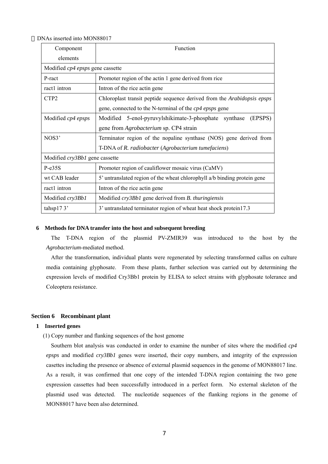DNAs inserted into MON88017

| Component                               | Function                                                                 |  |
|-----------------------------------------|--------------------------------------------------------------------------|--|
| elements                                |                                                                          |  |
| Modified <i>cp4 epsps</i> gene cassette |                                                                          |  |
| P-ract                                  | Promoter region of the actin 1 gene derived from rice                    |  |
| ract1 intron                            | Intron of the rice actin gene                                            |  |
| CTP <sub>2</sub>                        | Chloroplast transit peptide sequence derived from the Arabidopsis epsps  |  |
|                                         | gene, connected to the N-terminal of the <i>cp4 epsps</i> gene           |  |
| Modified cp4 epsps                      | Modified 5-enol-pyruvylshikimate-3-phosphate synthase<br>(EPSPS)         |  |
|                                         | gene from <i>Agrobacterium</i> sp. CP4 strain                            |  |
| NOS3'                                   | Terminator region of the nopaline synthase (NOS) gene derived from       |  |
|                                         | T-DNA of R. radiobacter (Agrobacterium tumefaciens)                      |  |
| Modified cry3Bb1 gene cassette          |                                                                          |  |
| P-e35S                                  | Promoter region of cauliflower mosaic virus (CaMV)                       |  |
| wt CAB leader                           | 5' untranslated region of the wheat chlorophyll a/b binding protein gene |  |
| ract1 intron                            | Intron of the rice actin gene                                            |  |
| Modified cry3Bb1                        | Modified cry3Bb1 gene derived from B. thuringiensis                      |  |
| tahsp $173'$                            | 3' untranslated terminator region of wheat heat shock protein 17.3       |  |

#### **6 Methods for DNA transfer into the host and subsequent breeding**

The T-DNA region of the plasmid PV-ZMIR39 was introduced to the host by the *Agrobacterium*-mediated method.

After the transformation, individual plants were regenerated by selecting transformed callus on culture media containing glyphosate. From these plants, further selection was carried out by determining the expression levels of modified Cry3Bb1 protein by ELISA to select strains with glyphosate tolerance and Coleoptera resistance.

#### **Section 6 Recombinant plant**

#### **1 Inserted genes**

(1) Copy number and flanking sequences of the host genome

Southern blot analysis was conducted in order to examine the number of sites where the modified *cp4 epsps* and modified *cry3Bb1* genes were inserted, their copy numbers, and integrity of the expression casettes including the presence or absence of external plasmid sequences in the genome of MON88017 line. As a result, it was confirmed that one copy of the intended T-DNA region containing the two gene expression cassettes had been successfully introduced in a perfect form. No external skeleton of the plasmid used was detected. The nucleotide sequences of the flanking regions in the genome of MON88017 have been also determined.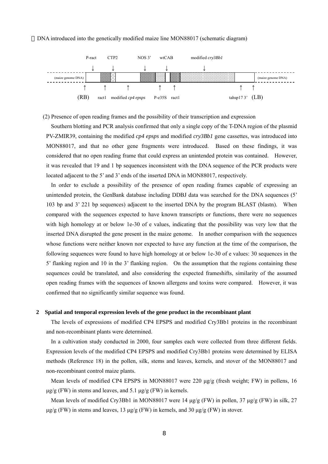#### DNA introduced into the genetically modified maize line MON88017 (schematic diagram)



(2) Presence of open reading frames and the possibility of their transcription and expression

Southern blotting and PCR analysis confirmed that only a single copy of the T-DNA region of the plasmid PV-ZMIR39, containing the modified *cp4 epsps* and modified *cry3Bb1* gene cassettes, was introduced into MON88017, and that no other gene fragments were introduced. Based on these findings, it was considered that no open reading frame that could express an unintended protein was contained. However, it was revealed that 19 and 1 bp sequences inconsistent with the DNA sequence of the PCR products were located adjacent to the 5' and 3' ends of the inserted DNA in MON88017, respectively.

In order to exclude a possibility of the presence of open reading frames capable of expressing an unintended protein, the GenBank database including DDBJ data was searched for the DNA sequences (5' 103 bp and 3' 221 bp sequences) adjacent to the inserted DNA by the program BLAST (blastn). When compared with the sequences expected to have known transcripts or functions, there were no sequences with high homology at or below 1e-30 of e values, indicating that the possibility was very low that the inserted DNA disrupted the gene present in the maize genome. In another comparison with the sequences whose functions were neither known nor expected to have any function at the time of the comparison, the following sequences were found to have high homology at or below 1e-30 of e values: 30 sequences in the 5' flanking region and 10 in the 3' flanking region. On the assumption that the regions containing these sequences could be translated, and also considering the expected frameshifts, similarity of the assumed open reading frames with the sequences of known allergens and toxins were compared. However, it was confirmed that no significantly similar sequence was found.

#### **2 Spatial and temporal expression levels of the gene product in the recombinant plant**

The levels of expressions of modified CP4 EPSPS and modified Cry3Bb1 proteins in the recombinant and non-recombinant plants were determined.

In a cultivation study conducted in 2000, four samples each were collected from three different fields. Expression levels of the modified CP4 EPSPS and modified Cry3Bb1 proteins were determined by ELISA methods (Reference 18) in the pollen, silk, stems and leaves, kernels, and stover of the MON88017 and non-recombinant control maize plants.

Mean levels of modified CP4 EPSPS in MON88017 were 220  $\mu$ g/g (fresh weight; FW) in pollens, 16  $\mu$ g/g (FW) in stems and leaves, and 5.1  $\mu$ g/g (FW) in kernels.

Mean levels of modified Cry3Bb1 in MON88017 were 14  $\mu$ g/g (FW) in pollen, 37  $\mu$ g/g (FW) in silk, 27  $\mu$ g/g (FW) in stems and leaves, 13  $\mu$ g/g (FW) in kernels, and 30  $\mu$ g/g (FW) in stover.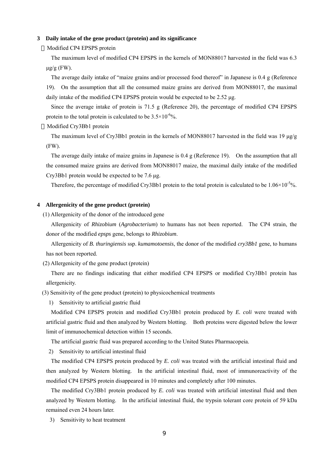#### **3 Daily intake of the gene product (protein) and its significance**

Modified CP4 EPSPS protein

The maximum level of modified CP4 EPSPS in the kernels of MON88017 harvested in the field was 6.3  $\mu$ g/g (FW).

The average daily intake of "maize grains and/or processed food thereof" in Japanese is 0.4 g (Reference 19). On the assumption that all the consumed maize grains are derived from MON88017, the maximal daily intake of the modified CP4 EPSPS protein would be expected to be 2.52 µg.

Since the average intake of protein is 71.5 g (Reference 20), the percentage of modified CP4 EPSPS protein to the total protein is calculated to be  $3.5 \times 10^{-6}$ %.

Modified Cry3Bb1 protein

The maximum level of Cry3Bb1 protein in the kernels of MON88017 harvested in the field was 19  $\mu$ g/g (FW).

The average daily intake of maize grains in Japanese is 0.4 g (Reference 19). On the assumption that all the consumed maize grains are derived from MON88017 maize, the maximal daily intake of the modified Cry3Bb1 protein would be expected to be 7.6 µg.

Therefore, the percentage of modified Cry3Bb1 protein to the total protein is calculated to be  $1.06 \times 10^{-5}$ %.

#### **4 Allergenicity of the gene product (protein)**

(1) Allergenicity of the donor of the introduced gene

Allergenicity of *Rhizobium* (*Agrobacterium*) to humans has not been reported. The CP4 strain, the donor of the modified *epsps* gene, belongs to *Rhizobium*.

Allergenicity of *B. thuringiensis* ssp. *kumamotoensis*, the donor of the modified *cry3Bb1* gene, to humans has not been reported.

(2) Allergenicity of the gene product (protein)

There are no findings indicating that either modified CP4 EPSPS or modified Cry3Bb1 protein has allergenicity.

(3) Sensitivity of the gene product (protein) to physicochemical treatments

1) Sensitivity to artificial gastric fluid

Modified CP4 EPSPS protein and modified Cry3Bb1 protein produced by *E. coli* were treated with artificial gastric fluid and then analyzed by Western blotting. Both proteins were digested below the lower limit of immunochemical detection within 15 seconds.

The artificial gastric fluid was prepared according to the United States Pharmacopeia.

2) Sensitivity to artificial intestinal fluid

The modified CP4 EPSPS protein produced by *E. coli* was treated with the artificial intestinal fluid and then analyzed by Western blotting. In the artificial intestinal fluid, most of immunoreactivity of the modified CP4 EPSPS protein disappeared in 10 minutes and completely after 100 minutes.

The modified Cry3Bb1 protein produced by *E. coli* was treated with artificial intestinal fluid and then analyzed by Western blotting. In the artificial intestinal fluid, the trypsin tolerant core protein of 59 kDa remained even 24 hours later.

3) Sensitivity to heat treatment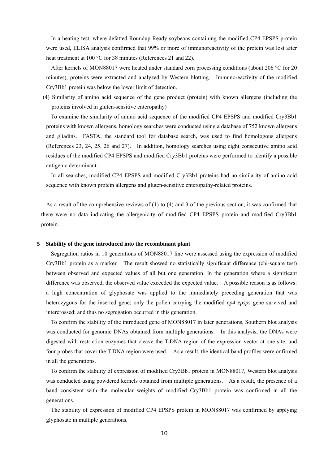In a heating test, where defatted Roundup Ready soybeans containing the modified CP4 EPSPS protein were used, ELISA analysis confirmed that 99% or more of immunoreactivity of the protein was lost after heat treatment at 100 °C for 38 minutes (References 21 and 22).

After kernels of MON88017 were heated under standard corn processing conditions (about 206 °C for 20 minutes), proteins were extracted and analyzed by Western blotting. Immunoreactivity of the modified Cry3Bb1 protein was below the lower limit of detection.

(4) Similarity of amino acid sequence of the gene product (protein) with known allergens (including the proteins involved in gluten-sensitive enteropathy)

To examine the similarity of amino acid sequence of the modified CP4 EPSPS and modified Cry3Bb1 proteins with known allergens, homology searches were conducted using a database of 752 known allergens and gliadins. FASTA, the standard tool for database search, was used to find homologous allergens (References 23, 24, 25, 26 and 27). In addition, homology searches using eight consecutive amino acid residues of the modified CP4 EPSPS and modified Cry3Bb1 proteins were performed to identify a possible antigenic determinant.

In all searches, modified CP4 EPSPS and modified Cry3Bb1 proteins had no similarity of amino acid sequence with known protein allergens and gluten-sensitive enteropathy-related proteins.

As a result of the comprehensive reviews of (1) to (4) and 3 of the previous section, it was confirmed that there were no data indicating the allergenicity of modified CP4 EPSPS protein and modified Cry3Bb1 protein.

#### **5 Stability of the gene introduced into the recombinant plant**

Segregation ratios in 10 generations of MON88017 line were assessed using the expression of modified Cry3Bb1 protein as a marker. The result showed no statistically significant difference (chi-square test) between observed and expected values of all but one generation. In the generation where a significant difference was observed, the observed value exceeded the expected value. A possible reason is as follows: a high concentration of glyphosate was applied to the immediately preceding generation that was heterozygous for the inserted gene; only the pollen carrying the modified *cp4 epsps* gene survived and intercrossed; and thus no segregation occurred in this generation.

To confirm the stability of the introduced gene of MON88017 in later generations, Southern blot analysis was conducted for genomic DNAs obtained from multiple generations. In this analysis, the DNAs were digested with restriction enzymes that cleave the T-DNA region of the expression vector at one site, and four probes that cover the T-DNA region were used. As a result, the identical band profiles were onfirmed in all the generations.

To confirm the stability of expression of modified Cry3Bb1 protein in MON88017, Western blot analysis was conducted using powdered kernels obtained from multiple generations. As a result, the presence of a band consistent with the molecular weights of modified Cry3Bb1 protein was confirmed in all the generations.

The stability of expression of modified CP4 EPSPS protein in MON88017 was confirmed by applying glyphosate in multiple generations.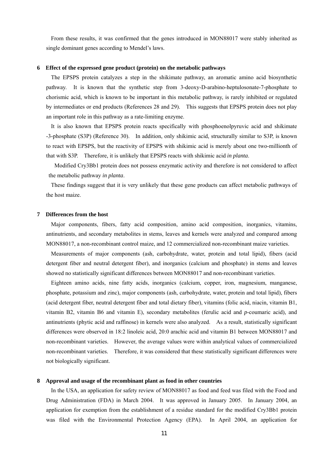From these results, it was confirmed that the genes introduced in MON88017 were stably inherited as single dominant genes according to Mendel's laws.

#### **6 Effect of the expressed gene product (protein) on the metabolic pathways**

The EPSPS protein catalyzes a step in the shikimate pathway, an aromatic amino acid biosynthetic pathway. It is known that the synthetic step from 3-deoxy-D-arabino-heptulosonate-7-phosphate to chorismic acid, which is known to be important in this metabolic pathway, is rarely inhibited or regulated by intermediates or end products (References 28 and 29). This suggests that EPSPS protein does not play an important role in this pathway as a rate-limiting enzyme.

It is also known that EPSPS protein reacts specifically with phosphoenolpyruvic acid and shikimate -3-phosphate (S3P) (Reference 30). In addition, only shikimic acid, structurally similar to S3P, is known to react with EPSPS, but the reactivity of EPSPS with shikimic acid is merely about one two-millionth of that with S3P. Therefore, it is unlikely that EPSPS reacts with shikimic acid *in planta*.

Modified Cry3Bb1 protein does not possess enzymatic activity and therefore is not considered to affect the metabolic pathway *in planta*.

These findings suggest that it is very unlikely that these gene products can affect metabolic pathways of the host maize.

#### **7 Differences from the host**

Major components, fibers, fatty acid composition, amino acid composition, inorganics, vitamins, antinutrients, and secondary metabolites in stems, leaves and kernels were analyzed and compared among MON88017, a non-recombinant control maize, and 12 commercialized non-recombinant maize varieties.

Measurements of major components (ash, carbohydrate, water, protein and total lipid), fibers (acid detergent fiber and neutral detergent fiber), and inorganics (calcium and phosphate) in stems and leaves showed no statistically significant differences between MON88017 and non-recombinant varieties.

Eighteen amino acids, nine fatty acids, inorganics (calcium, copper, iron, magnesium, manganese, phosphate, potassium and zinc), major components (ash, carbohydrate, water, protein and total lipid), fibers (acid detergent fiber, neutral detergent fiber and total dietary fiber), vitamins (folic acid, niacin, vitamin B1, vitamin B2, vitamin B6 and vitamin E), secondary metabolites (ferulic acid and *p*-coumaric acid), and antinutrients (phytic acid and raffinose) in kernels were also analyzed. As a result, statistically significant differences were observed in 18:2 linoleic acid, 20:0 arachic acid and vitamin B1 between MON88017 and non-recombinant varieties. However, the average values were within analytical values of commercialized non-recombinant varieties. Therefore, it was considered that these statistically significant differences were not biologically significant.

#### **8 Approval and usage of the recombinant plant as food in other countries**

In the USA, an application for safety review of MON88017 as food and feed was filed with the Food and Drug Administration (FDA) in March 2004. It was approved in January 2005. In January 2004, an application for exemption from the establishment of a residue standard for the modified Cry3Bb1 protein was filed with the Environmental Protection Agency (EPA). In April 2004, an application for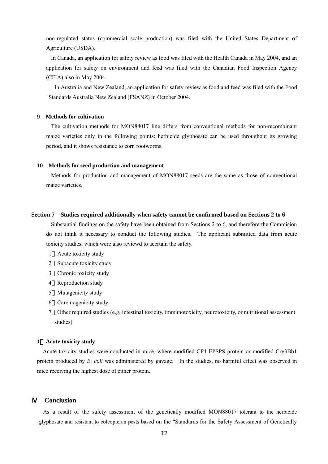non-regulated status (commercial scale production) was filed with the United States Department of Agriculture (USDA).

In Canada, an application for safety review as food was filed with the Health Canada in May 2004, and an application for safety on environment and feed was filed with the Canadian Food Inspection Agency (CFIA) also in May 2004.

In Australia and New Zealand, an application for safety review as food and feed was filed with the Food Standards Australia New Zealand (FSANZ) in October 2004.

#### **9 Methods for cultivation**

The cultivation methods for MON88017 line differs from conventional methods for non-recombinant maize varieties only in the following points: herbicide glyphosate can be used throughout its growing period, and it shows resistance to corn rootworms.

#### **10 Methods for seed production and management**

Methods for production and management of MON88017 seeds are the same as those of conventional maize varieties.

#### **Section 7 Studies required additionally when safety cannot be confirmed based on Sections 2 to 6**

Substantial findings on the safety have been obtained from Sections 2 to 6, and therefore the Commision do not think it necessary to conduct the following studies. The applicant submitted data from acute toxicity studies, which were also reviewd to acertain the safety.

- 1 Acute toxicity study
- 2 Subacute toxicity study
- 3 Chronic toxicity study
- 4 Reproduction study
- 5 Mutagenicity study
- 6 Carcinogenicity study
- 7 Other required studies (e.g. intestinal toxicity, immunotoxicity, neurotoxicity, or nutritional assessment studies)

#### **1**.**Acute toxicity study**

Acute toxicity studies were conducted in mice, where modified CP4 EPSPS protein or modified Cry3Bb1 protein produced by *E. coli* was administered by gavage. In the studies, no harmful effect was observed in mice receiving the highest dose of either protein.

#### Ⅳ **Conclusion**

As a result of the safety assessment of the genetically modified MON88017 tolerant to the herbicide glyphosate and resistant to coleopteran pests based on the "Standards for the Safety Assessment of Genetically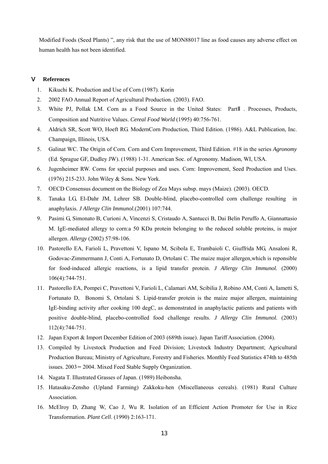Modified Foods (Seed Plants) ", any risk that the use of MON88017 line as food causes any adverse effect on human health has not been identified.

#### Ⅴ **References**

- 1. Kikuchi K. Production and Use of Corn (1987). Korin
- 2. 2002 FAO Annual Report of Agricultural Production. (2003). FAO.
- 3. White PJ, Pollak LM. Corn as a Food Source in the United States: Part . Processes, Products, Composition and Nutritive Values. *Cereal Food World* (1995) 40:756-761.
- 4. Aldrich SR, Scott WO, Hoeft RG. ModernCorn Production, Third Edition. (1986). A&L Publication, Inc. Champaign, Illinois, USA.
- 5. Galinat WC. The Origin of Corn. Corn and Corn Improvement, Third Edition. #18 in the series *Agronomy* (Ed. Sprague GF, Dudley JW). (1988) 1-31. American Soc. of Agronomy. Madison, WI, USA.
- 6. Jugenheimer RW. Corns for special purposes and uses. Corn: Improvement, Seed Production and Uses. (1976) 215-233. John Wiley & Sons. New York.
- 7. OECD Consensus document on the Biology of Zea Mays subsp. mays (Maize). (2003). OECD.
- 8. Tanaka LG, El-Dahr JM, Lehrer SB. Double-blind, placebo-controlled corn challenge resulting in anaphylaxis. *J Allergy Clin Immunol.*(2001) 107:744.
- 9. Pasimi G, Simonato B, Curioni A, Vincenzi S, Cristaudo A, Santucci B, Dai Belin Peruffo A, Giannattasio M. IgE-mediated allergy to corn:a 50 KDa protein belonging to the reduced soluble proteins, is major allergen. *Allergy* (2002) 57:98-106.
- 10. Pastorello EA, Farioli L, Pravettoni V, Ispano M, Scibola E, Trambaioli C, Giuffrida MG, Ansaloni R, Godovac-Zimmermann J, Conti A, Fortunato D, Ortolani C. The maize major allergen,which is reponsible for food-induced allergic reactions, is a lipid transfer protein. *J Allergy Clin Immunol.* (2000) 106(4):744-751.
- 11. Pastorello EA, Pompei C, Pravettoni V, Farioli L, Calamari AM, Scibilia J, Robino AM, Conti A, Iametti S, Fortunato D, Bonomi S, Ortolani S. Lipid-transfer protein is the maize major allergen, maintaining IgE-binding activity after cooking 100 degC, as demonstrated in anaphylactic patients and patients with positive double-blind, placebo-controlled food challenge results. *J Allergy Clin Immunol.* (2003) 112(4):744-751.
- 12. Japan Export & Import December Edition of 2003 (689th issue). Japan Tariff Association. (2004).
- 13. Compiled by Livestock Production and Feed Division; Livestock Industry Department; Agricultural Production Bureau; Ministry of Agriculture, Forestry and Fisheries. Monthly Feed Statistics 474th to 485th issues. 2003 2004. Mixed Feed Stable Supply Organization.
- 14. Nagata T. Illustrated Grasses of Japan. (1989) Heibonsha.
- 15. Hatasaku-Zensho (Upland Farming) Zakkoku-hen (Miscellaneous cereals). (1981) Rural Culture Association.
- 16. McElroy D, Zhang W, Cao J, Wu R. Isolation of an Efficient Action Promoter for Use in Rice Transformation. *Plant Cell*. (1990) 2:163-171.